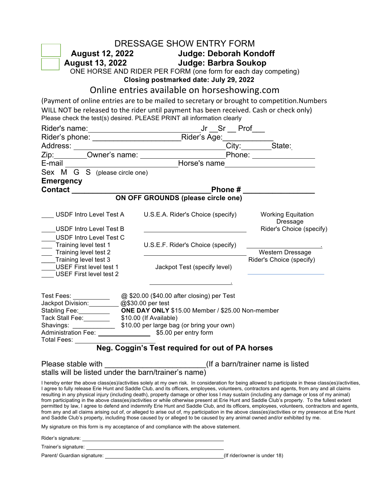| DRESSAGE SHOW ENTRY FORM                                                                                                                                                                                                                                                                                                                                                                                                                                                                                                                                                   |                                                  |  |                                                                                                                                                                                                                                                                                                                                                                                                                                                              |  |
|----------------------------------------------------------------------------------------------------------------------------------------------------------------------------------------------------------------------------------------------------------------------------------------------------------------------------------------------------------------------------------------------------------------------------------------------------------------------------------------------------------------------------------------------------------------------------|--------------------------------------------------|--|--------------------------------------------------------------------------------------------------------------------------------------------------------------------------------------------------------------------------------------------------------------------------------------------------------------------------------------------------------------------------------------------------------------------------------------------------------------|--|
| August 12, 2022 Judge: Deborah Kondoff                                                                                                                                                                                                                                                                                                                                                                                                                                                                                                                                     |                                                  |  |                                                                                                                                                                                                                                                                                                                                                                                                                                                              |  |
| August 13, 2022 Judge: Barbra Soukop                                                                                                                                                                                                                                                                                                                                                                                                                                                                                                                                       |                                                  |  |                                                                                                                                                                                                                                                                                                                                                                                                                                                              |  |
| ONE HORSE AND RIDER PER FORM (one form for each day competing)<br>Closing postmarked date: July 29, 2022                                                                                                                                                                                                                                                                                                                                                                                                                                                                   |                                                  |  |                                                                                                                                                                                                                                                                                                                                                                                                                                                              |  |
| Online entries available on horseshowing.com                                                                                                                                                                                                                                                                                                                                                                                                                                                                                                                               |                                                  |  |                                                                                                                                                                                                                                                                                                                                                                                                                                                              |  |
| (Payment of online entries are to be mailed to secretary or brought to competition.Numbers                                                                                                                                                                                                                                                                                                                                                                                                                                                                                 |                                                  |  |                                                                                                                                                                                                                                                                                                                                                                                                                                                              |  |
| WILL NOT be released to the rider until payment has been received. Cash or check only)<br>Please check the test(s) desired. PLEASE PRINT all information clearly                                                                                                                                                                                                                                                                                                                                                                                                           |                                                  |  |                                                                                                                                                                                                                                                                                                                                                                                                                                                              |  |
|                                                                                                                                                                                                                                                                                                                                                                                                                                                                                                                                                                            |                                                  |  |                                                                                                                                                                                                                                                                                                                                                                                                                                                              |  |
|                                                                                                                                                                                                                                                                                                                                                                                                                                                                                                                                                                            |                                                  |  |                                                                                                                                                                                                                                                                                                                                                                                                                                                              |  |
|                                                                                                                                                                                                                                                                                                                                                                                                                                                                                                                                                                            |                                                  |  |                                                                                                                                                                                                                                                                                                                                                                                                                                                              |  |
|                                                                                                                                                                                                                                                                                                                                                                                                                                                                                                                                                                            |                                                  |  |                                                                                                                                                                                                                                                                                                                                                                                                                                                              |  |
| E-mail <b>E-mail E-mail E-mail</b>                                                                                                                                                                                                                                                                                                                                                                                                                                                                                                                                         |                                                  |  |                                                                                                                                                                                                                                                                                                                                                                                                                                                              |  |
| Sex M G S (please circle one)                                                                                                                                                                                                                                                                                                                                                                                                                                                                                                                                              |                                                  |  |                                                                                                                                                                                                                                                                                                                                                                                                                                                              |  |
| <b>Emergency</b>                                                                                                                                                                                                                                                                                                                                                                                                                                                                                                                                                           |                                                  |  |                                                                                                                                                                                                                                                                                                                                                                                                                                                              |  |
|                                                                                                                                                                                                                                                                                                                                                                                                                                                                                                                                                                            |                                                  |  |                                                                                                                                                                                                                                                                                                                                                                                                                                                              |  |
|                                                                                                                                                                                                                                                                                                                                                                                                                                                                                                                                                                            |                                                  |  |                                                                                                                                                                                                                                                                                                                                                                                                                                                              |  |
| USDF Intro Level Test A                                                                                                                                                                                                                                                                                                                                                                                                                                                                                                                                                    | U.S.E.A. Rider's Choice (specify)                |  | <b>Working Equitation</b><br>Dressage                                                                                                                                                                                                                                                                                                                                                                                                                        |  |
| <b>USDF Intro Level Test B</b>                                                                                                                                                                                                                                                                                                                                                                                                                                                                                                                                             |                                                  |  | Rider's Choice (specify)                                                                                                                                                                                                                                                                                                                                                                                                                                     |  |
| USDF Intro Level Test C                                                                                                                                                                                                                                                                                                                                                                                                                                                                                                                                                    |                                                  |  |                                                                                                                                                                                                                                                                                                                                                                                                                                                              |  |
| Training level test 1                                                                                                                                                                                                                                                                                                                                                                                                                                                                                                                                                      | U.S.E.F. Rider's Choice (specify)                |  |                                                                                                                                                                                                                                                                                                                                                                                                                                                              |  |
| Training level test 2                                                                                                                                                                                                                                                                                                                                                                                                                                                                                                                                                      |                                                  |  | Western Dressage                                                                                                                                                                                                                                                                                                                                                                                                                                             |  |
| Training level test 3<br>USEF First level test 1<br><b>USEF First level test 2</b>                                                                                                                                                                                                                                                                                                                                                                                                                                                                                         | Jackpot Test (specify level)                     |  | Rider's Choice (specify)                                                                                                                                                                                                                                                                                                                                                                                                                                     |  |
| Test Fees: 2000 (\$40.00 after closing) per Test<br>Jackpot Division: 2009 09:30.00 per test                                                                                                                                                                                                                                                                                                                                                                                                                                                                               |                                                  |  |                                                                                                                                                                                                                                                                                                                                                                                                                                                              |  |
| Stabling Fee: _______________ ONE DAY ONLY \$15.00 Member / \$25.00 Non-member<br>Tack Stall Fee: \$10.00 (If Available)                                                                                                                                                                                                                                                                                                                                                                                                                                                   |                                                  |  |                                                                                                                                                                                                                                                                                                                                                                                                                                                              |  |
|                                                                                                                                                                                                                                                                                                                                                                                                                                                                                                                                                                            |                                                  |  |                                                                                                                                                                                                                                                                                                                                                                                                                                                              |  |
| Administration Fee: _______________________ \$5.00 per entry form                                                                                                                                                                                                                                                                                                                                                                                                                                                                                                          |                                                  |  |                                                                                                                                                                                                                                                                                                                                                                                                                                                              |  |
| Total Fees:                                                                                                                                                                                                                                                                                                                                                                                                                                                                                                                                                                |                                                  |  |                                                                                                                                                                                                                                                                                                                                                                                                                                                              |  |
|                                                                                                                                                                                                                                                                                                                                                                                                                                                                                                                                                                            | Neg. Coggin's Test required for out of PA horses |  |                                                                                                                                                                                                                                                                                                                                                                                                                                                              |  |
|                                                                                                                                                                                                                                                                                                                                                                                                                                                                                                                                                                            |                                                  |  |                                                                                                                                                                                                                                                                                                                                                                                                                                                              |  |
| I agree to fully release Erie Hunt and Saddle Club, and its officers, employees, volunteers, contractors and agents, from any and all claims<br>resulting in any physical injury (including death), property damage or other loss I may sustain (including any damage or loss of my animal)<br>from participating in the above class(es)/activities or while otherwise present at Erie Hunt and Saddle Club's property. To the fullest extent<br>and Saddle Club's property, including those caused by or alleged to be caused by any animal owned and/or exhibited by me. |                                                  |  | I hereby enter the above class(es)/activities solely at my own risk. In consideration for being allowed to participate in these class(es)/activities,<br>permitted by law, I agree to defend and indemnify Erie Hunt and Saddle Club, and its officers, employees, volunteers, contractors and agents,<br>from any and all claims arising out of, or alleged to arise out of, my participation in the above class(es)/activities or my presence at Erie Hunt |  |
| My signature on this form is my acceptance of and compliance with the above statement.                                                                                                                                                                                                                                                                                                                                                                                                                                                                                     |                                                  |  |                                                                                                                                                                                                                                                                                                                                                                                                                                                              |  |
|                                                                                                                                                                                                                                                                                                                                                                                                                                                                                                                                                                            |                                                  |  |                                                                                                                                                                                                                                                                                                                                                                                                                                                              |  |
|                                                                                                                                                                                                                                                                                                                                                                                                                                                                                                                                                                            |                                                  |  |                                                                                                                                                                                                                                                                                                                                                                                                                                                              |  |
|                                                                                                                                                                                                                                                                                                                                                                                                                                                                                                                                                                            |                                                  |  |                                                                                                                                                                                                                                                                                                                                                                                                                                                              |  |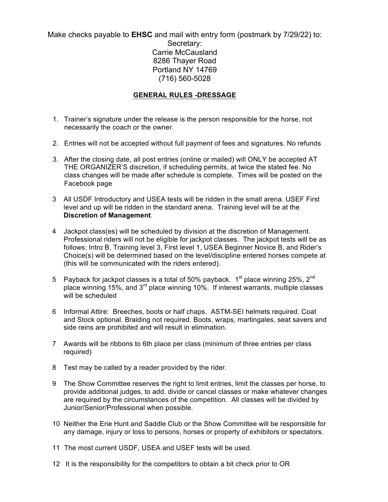Make checks payable to **EHSC** and mail with entry form (postmark by 7/29/22) to: Secretary: Carrie McCausland 8286 Thayer Road Portland NY 14769 (716) 560-5028

## **GENERAL RULES -DRESSAGE**

- 1. Trainer's signature under the release is the person responsible for the horse, not necessarily the coach or the owner.
- 2. Entries will not be accepted without full payment of fees and signatures. No refunds
- 3. After the closing date, all post entries (online or mailed) will ONLY be accepted AT THE ORGANIZER'S discretion, if scheduling permits, at twice the stated fee. No class changes will be made after schedule is complete. Times will be posted on the Facebook page
- 3 All USDF Introductory and USEA tests will be ridden in the small arena. USEF First level and up will be ridden in the standard arena. Training level will be at the **Discretion of Management**.
- 4 Jackpot class(es) will be scheduled by division at the discretion of Management. Professional riders will not be eligible for jackpot classes. The jackpot tests will be as follows: Intro B, Training level 3, First level 1, USEA Beginner Novice B, and Rider's Choice(s) will be determined based on the level/discipline entered horses compete at (this will be communicated with the riders entered).
- 5 Payback for jackpot classes is a total of 50% payback.  $1<sup>st</sup>$  place winning 25%,  $2<sup>nd</sup>$ place winning 15%, and 3rd place winning 10%. If interest warrants, multiple classes will be scheduled
- 6 Informal Attire: Breeches, boots or half chaps. ASTM-SEI helmets required. Coat and Stock optional. Braiding not required. Boots, wraps, martingales, seat savers and side reins are prohibited and will result in elimination.
- 7 Awards will be ribbons to 6th place per class (minimum of three entries per class required)
- 8 Test may be called by a reader provided by the rider.
- 9 The Show Committee reserves the right to limit entries, limit the classes per horse, to provide additional judges, to add, divide or cancel classes or make whatever changes are required by the circumstances of the competition. All classes will be divided by Junior/Senior/Professional when possible.
- 10 Neither the Erie Hunt and Saddle Club or the Show Committee will be responsible for any damage, injury or loss to persons, horses or property of exhibitors or spectators.
- 11 The most current USDF, USEA and USEF tests will be used.
- 12 It is the responsibility for the competitors to obtain a bit check prior to OR